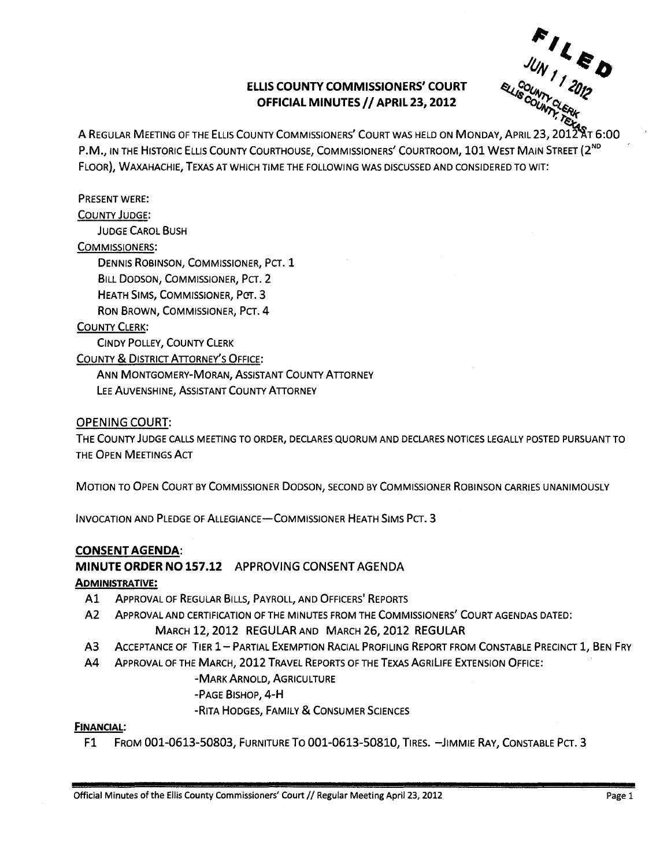## ELLIS COUNTY COMMISSIONERS' COURT **OFFICIAL MINUTES // APRIL 23, 2012**

 $F_{I_{I}}$  $U_N$ , $\epsilon_D$ 

A REGULAR MEETING OF THE ELLIS COUNTY COMMISSIONERS' COURT WAS HELD ON MONDAY, APRIL 23, 2012 AT 6:00 P.M., IN THE HISTORIC ELLIS COUNTY COURTHOUSE, COMMISSIONERS' COURTROOM, 101 WEST MAIN STREET (2<sup>ND</sup> FLOOR), WAXAHACHIE, TEXAS AT WHICH TIME THE FOLLOWING WAS DISCUSSED AND CONSIDERED TO WIT:

### PRESENT WERE:

#### COUNTY JUDGE:

JUDGE CAROL BUSH

#### COMMISSIONERS:

DENNIS ROBINSON, COMMISSIONER, PCT. 1 BILL DODSON, COMMISSIONER, PCT. 2 HEATH SIMS, COMMISSIONER, PCT. 3 RON BROWN, COMMISSIONER, PCT. 4

#### **COUNTY CLERK:**

CiNDY POLLEY, COUNTY CLERK COUNTY & DISTRICT ATTORNEY'S OFFICE: ANN MONTGOMERy-MORAN, ASSISTANT COUNTY ATTORNEY

LEE AUVENSHINE, ASSISTANT COUNTY ATTORNEY

### OPENING COURT:

THE COUNTY JUDGE CALLS MEETING TO ORDER, DECLARES QUORUM AND DECLARES NOTICES LEGALLY POSTED PURSUANT TO THE OPEN MEETINGS ACT

MOTION TO OPEN COURT BY COMMISSIONER DODSON, SECOND BY COMMISSIONER ROBINSON CARRIES UNANIMOUSLY

INVOCATION AND PLEDGE OF ALLEGIANCE-COMMISSIONER HEATH SIMS PCT. 3

### CONSENT AGENDA:

## MINUTE ORDER NO 157.12 APPROVING CONSENT AGENDA

### ADMINISTRATIVE:

- Al ApPROVAL OF REGULAR BILLS, PAYROLL, AND OFFICERS' REPORTS
- A2 ApPROVAL AND CERTIFICATION OF THE MINUTES FROM THE COMMISSIONERS' COURT AGENDAS DATED: MARCH 12,2012 REGULAR AND MARCH 26, 2012 REGULAR
- A3 ACCEPTANCE OF TIER 1-PARTIAL EXEMPTION RACIAL PROFILING REPORT FROM CONSTABLE PRECINCT 1, BEN FRY
- A4 ApPROVAL OF THE MARCH, 2012 TRAVEL REPORTS OF THE TEXAS AGRlliFE EXTENSION OFFICE:

### -MARK ARNOLD, AGRICULTURE

- -PAGE BISHOP, 4-H
- -RITA HODGES, FAMILY & CONSUMER SCIENCES

### FINANCIAL:

F1 FROM 001-0613-50803, FURNITURE To 001-0613-50810, TIRES. -JIMMIE RAY, CONSTABLE PCT. 3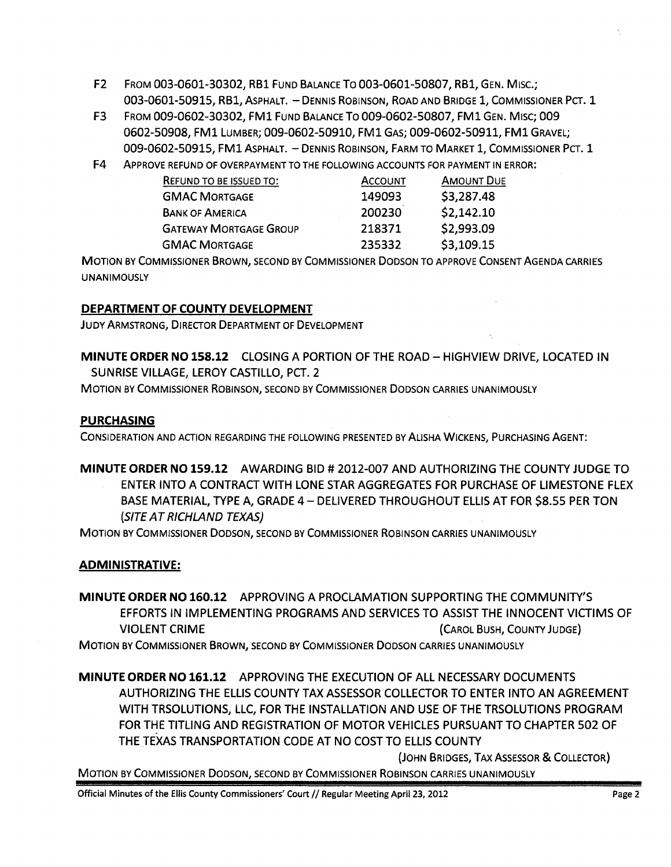- F2 FROM 003-0601-30302, RB1 FUND BALANCE To 003-0601-50807, RB1, GEN. MIsc.; 003-0601-50915, RB1, ASPHALT. - DENNIS ROBINSON, ROAD AND BRIDGE 1, COMMISSIONER PCT. 1
- F3 FROM 009-0602-30302, FM1 FUND BALANCE To 009-0602-50807, FM1 GEN. Mlsc; 009 0602-50908, FM1 LUMBER; 009-0602-50910, FM1 GAS; 009-0602-50911, FM1 GRAVEL; 009-0602-50915, FM1 ASPHALT. - DENNIS ROBINSON, FARM TO MARKET 1, COMMISSIONER PCT. 1
- F4 ApPROVE REFUND OF OVERPAYMENT TO THE FOLLOWING ACCOUNTS FOR PAYMENT IN ERROR:

| REFUND TO BE ISSUED TO:       | <b>ACCOUNT</b> | <b>AMOUNT DUE</b> |
|-------------------------------|----------------|-------------------|
| <b>GMAC MORTGAGE</b>          | 149093         | \$3,287.48        |
| <b>BANK OF AMERICA</b>        | 200230         | \$2,142.10        |
| <b>GATEWAY MORTGAGE GROUP</b> | 218371         | \$2,993.09        |
| <b>GMAC MORTGAGE</b>          | 235332         | \$3,109.15        |

MOTION BY COMMISSIONER BROWN, SECOND BY COMMISSIONER DODSON TO APPROVE CONSENT AGENDA CARRIES UNANIMOUSLY

## DEPARTMENT OF COUNTY DEVELOPMENT

JUDY ARMSTRONG, DIRECTOR DEPARTMENT OF DEVELOPMENT

MINUTE ORDER NO 158.12 CLOSING A PORTION OF THE ROAD - HIGHVIEW DRIVE, LOCATED IN SUNRISE VILLAGE, LEROY CASTILLO, PCT. 2

MOTION BY COMMISSIONER ROBINSON, SECOND BY COMMISSIONER DODSON CARRIES UNANIMOUSLY

## PURCHASING

CONSIDERATION AND ACTION REGARDING THE FOLLOWING PRESENTED BY ALiSHA WICKENS, PURCHASING AGENT:

MINUTE ORDER NO 159.12 AWARDING BID # 2012-007 AND AUTHORIZING THE COUNTY JUDGE TO ENTER INTO A CONTRACT WITH LONE STAR AGGREGATES FOR PURCHASE OF LIMESTONE FLEX BASE MATERIAL, TYPE A, GRADE 4 - DELIVERED THROUGHOUT ELLIS AT FOR \$8.55 PER TON (SITE AT RICHLAND TEXAS)

MOTION BY COMMISSIONER DODSON, SECOND BY COMMISSIONER ROBINSON CARRIES UNANIMOUSLY

## ADMINISTRATIVE:

MINUTE ORDER NO 160.12 APPROVING A PROCLAMATION SUPPORTING THE COMMUNITY'S EFFORTS IN IMPLEMENTING PROGRAMS AND SERVICES TO ASSIST THE INNOCENT VICTIMS OF VIOLENT CRIME (CAROL BUSH, COUNTY JUDGE)

MOTION BY COMMISSIONER BROWN, SECOND BY COMMISSIONER DODSON CARRIES UNANIMOUSLY

MINUTE ORDER NO 161.12 APPROVING THE EXECUTION OF ALL NECESSARY DOCUMENTS AUTHORIZING THE ELLIS COUNTY TAX ASSESSOR COLLECTOR TO ENTER INTO AN AGREEMENT WITH TRSOLUTIONS, LLC, FOR THE INSTALLATION AND USE OF THE TRSOLUTIONS PROGRAM FOR THE TITLING AND REGISTRATION OF MOTOR VEHICLES PURSUANT TO CHAPTER 502 OF THE TEXAS TRANSPORTATION CODE AT NO COST TO ELLIS COUNTY

(JOHN BRIDGES, TAX ASSESSOR & COLLECTOR)

MOTION BY COMMISSIONER DODSON, SECOND BY COMMISSIONER ROBINSON CARRIES UNANIMOUSLY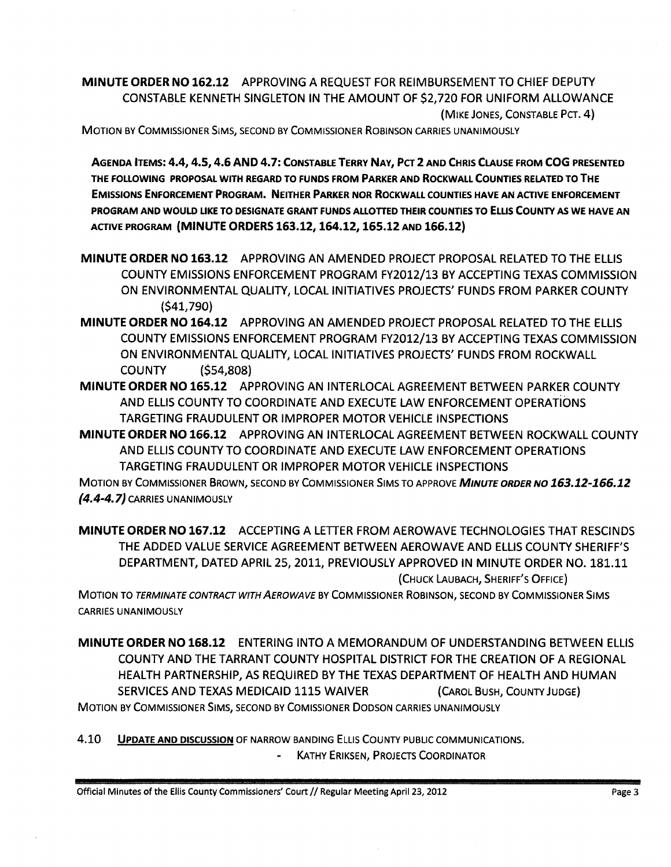MINUTE ORDER NO 162.12 APPROVING A REQUEST FOR REIMBURSEMENT TO CHIEF DEPUTY CONSTABLE KENNETH SINGLETON IN THE AMOUNT OF \$2,720 FOR UNIFORM ALLOWANCE (MIKE JONES, CONSTABLE PCT. 4)

MOTION BY COMMISSIONER SIMS, SECOND BY COMMISSIONER ROBINSON CARRIES UNANIMOUSLY

AGENDA ITEMS: 4.4, 4.5,4.6 AND 4.7: CONSTABLE TERRY NAY, PCT 2 AND CHRIS CLAUSE FROM COG PRESENTED THE FOLLOWING PROPOSAL WITH REGARD TO FUNDS FROM PARKER AND ROCKWALL COUNTIES RELATED TO THE EMISSIONS ENFORCEMENT PROGRAM. NEITHER PARKER NOR ROCKWALL COUNTIES HAVE AN ACTIVE ENFORCEMENT PROGRAM AND WOULD LIKE TO DESIGNATE GRANT FUNDS ALLOTTED THEIR COUNTIES TO ELLIS COUNTY AS WE HAVE AN ACTIVE PROGRAM (MINUTE ORDERS 163.12, 164.12, 165.12 AND 166.12)

- MINUTE ORDER NO 163.12 APPROVING AN AMENDED PROJECT PROPOSAL RELATED TO THE ELLIS COUNTY EMISSIONS ENFORCEMENT PROGRAM FY2012/13 BY ACCEPTING TEXAS COMMISSION ON ENVIRONMENTAL QUALITY, LOCAL INITIATIVES PROJECTS' FUNDS FROM PARKER COUNTY (\$41,790)
- MINUTE ORDER NO 164.12 APPROVING AN AMENDED PROJECT PROPOSAL RELATED TO THE ELLIS COUNTY EMISSIONS ENFORCEMENT PROGRAM FY2012/13 BY ACCEPTING TEXAS COMMISSION ON ENVIRONMENTAL QUALITY, LOCAL INITIATIVES PROJECTS' FUNDS FROM ROCKWALL COUNTY (\$54,808)
- MINUTE ORDER NO 165.12 APPROVING AN INTERLOCAL AGREEMENT BETWEEN PARKER COUNTY AND ELLIS COUNTY TO COORDINATE AND EXECUTE LAW ENFORCEMENT OPERATioNS TARGETING FRAUDULENT OR IMPROPER MOTOR VEHICLE INSPECTIONS

MINUTE ORDER NO 166.12 APPROVING AN INTERLOCAL AGREEMENT BETWEEN ROCKWALL COUNTY AND ELLIS COUNTY TO COORDINATE AND EXECUTE LAW ENFORCEMENT OPERATIONS TARGETING FRAUDULENT OR IMPROPER MOTOR VEHICLE INSPECTIONS

MOTION BY COMMISSIONER BROWN, SECOND BY COMMISSIONER SIMS TO APPROVE *MINUTE ORDER NO 163.12-166.12*   $(4.4-4.7)$  CARRIES UNANIMOUSLY

MINUTE ORDER NO 167.12 ACCEPTING A LETTER FROM AEROWAVE TECHNOLOGIES THAT RESCINDS THE ADDED VALUE SERVICE AGREEMENT BETWEEN AEROWAVE AND ELLIS COUNTY SHERIFF'S DEPARTMENT, DATED APRIL 25,2011, PREVIOUSLY APPROVED IN MINUTE ORDER NO. 181.11 (CHUCK LAUBACH, SHERIFF'S OFFICE)

MOTION TO TERMINATE CONTRACT WITH AEROWAVE BY COMMISSIONER ROBINSON, SECOND BY COMMISSIONER SIMS CARRIES UNANIMOUSLY

MINUTE ORDER NO 168.12 ENTERING INTO A MEMORANDUM OF UNDERSTANDING BETWEEN ELLIS COUNTY AND THE TARRANT COUNTY HOSPITAL DISTRICT FOR THE CREATION OF A REGIONAL HEALTH PARTNERSHIP, AS REQUIRED BY THE TEXAS DEPARTMENT OF HEALTH AND HUMAN SERVICES AND TEXAS MEDICAID 1115 WAIVER (CAROL BUSH, COUNTY JUDGE) MOTION BY COMMISSIONER SIMS, SECOND BY COMISSIONER DODSON CARRIES UNANIMOUSLY

4.10 **UPDATE AND DISCUSSION** OF NARROW BANDING ELLIS COUNTY PUBLIC COMMUNICATIONS. KATHY ERIKSEN, PROJECTS COORDINATOR